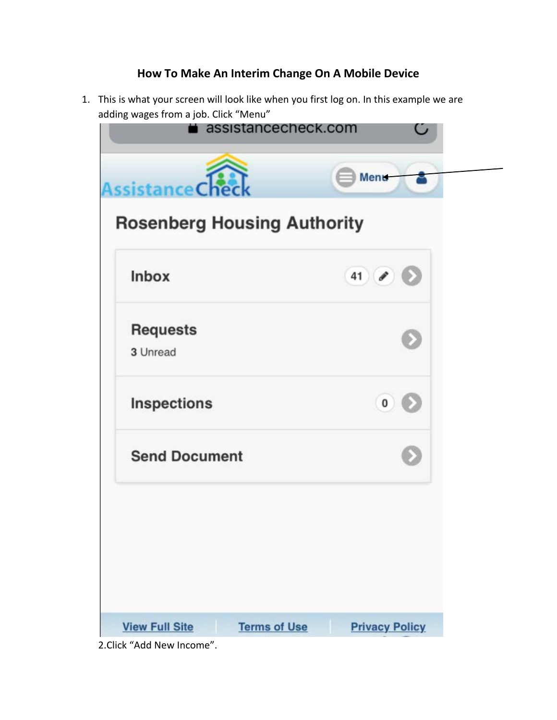## **How To Make An Interim Change On A Mobile Device**

1. This is what your screen will look like when you first log on. In this example we are adding wages from a job. Click "Menu"



2.Click "Add New Income".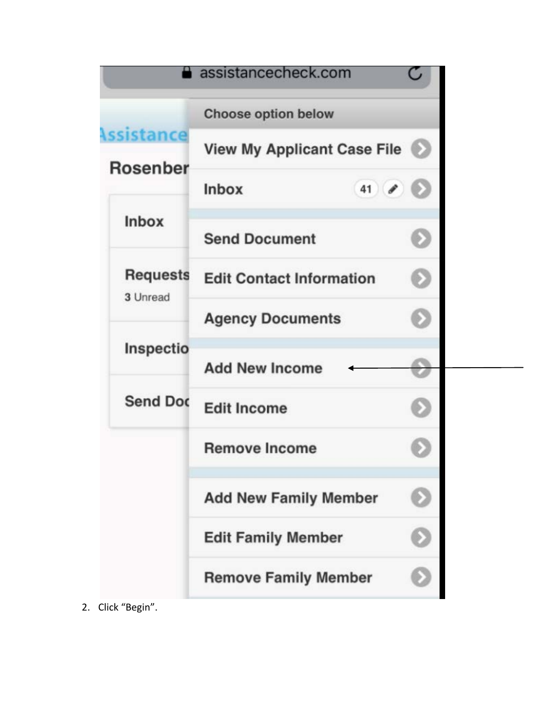|                               | assistancecheck.com                |  |
|-------------------------------|------------------------------------|--|
|                               | <b>Choose option below</b>         |  |
| Assistance<br><b>Rosenber</b> | <b>View My Applicant Case File</b> |  |
|                               | $41$ $\theta$<br><b>Inbox</b>      |  |
| <b>Inbox</b>                  | <b>Send Document</b>               |  |
| <b>Requests</b><br>3 Unread   | <b>Edit Contact Information</b>    |  |
|                               | <b>Agency Documents</b>            |  |
| Inspectio                     | <b>Add New Income</b>              |  |
| <b>Send Doc</b>               | <b>Edit Income</b>                 |  |
|                               | <b>Remove Income</b>               |  |
|                               | <b>Add New Family Member</b>       |  |
|                               | <b>Edit Family Member</b>          |  |
|                               | <b>Remove Family Member</b>        |  |
| Click "Begin".                |                                    |  |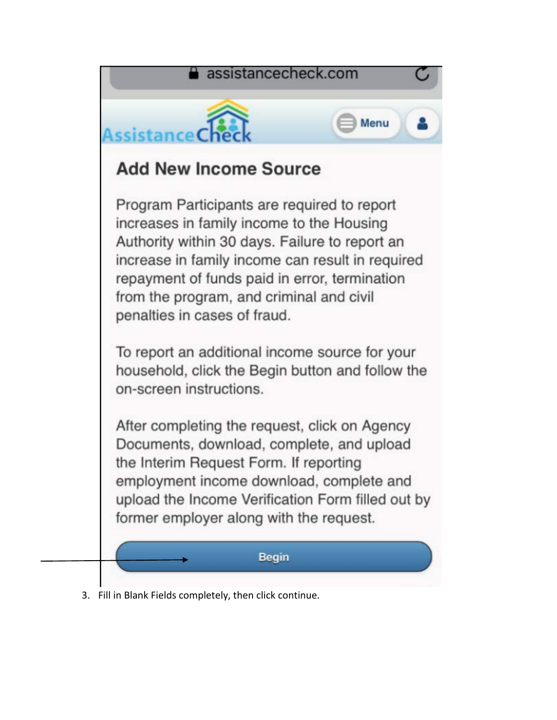

3. Fill in Blank Fields completely, then click continue.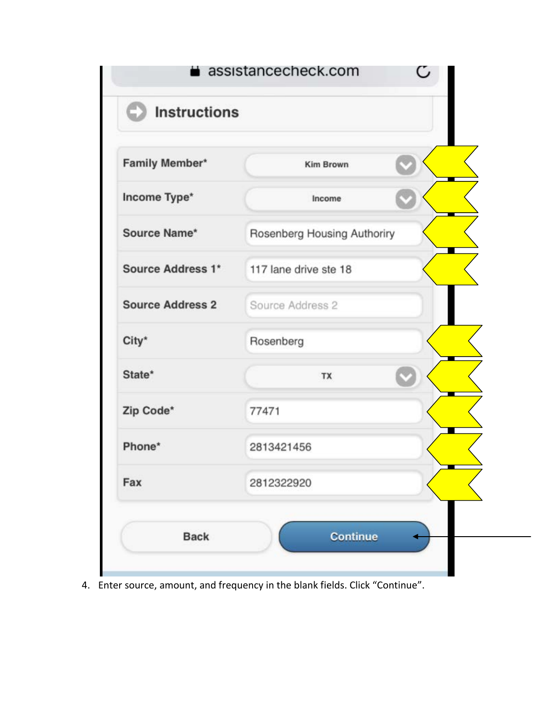

4. Enter source, amount, and frequency in the blank fields. Click "Continue".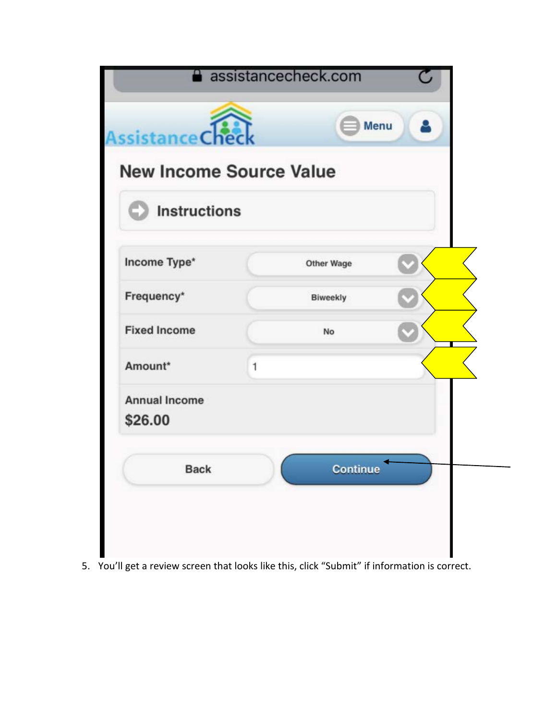| <b>Assistance Cher</b><br><b>New Income Source Value</b> |   |                   |  |  |
|----------------------------------------------------------|---|-------------------|--|--|
| <b>Instructions</b>                                      |   |                   |  |  |
| Income Type*                                             |   | <b>Other Wage</b> |  |  |
| Frequency*                                               |   | <b>Biweekly</b>   |  |  |
| <b>Fixed Income</b>                                      |   | No                |  |  |
| Amount*                                                  | 1 |                   |  |  |
| <b>Annual Income</b><br>\$26.00                          |   |                   |  |  |
| <b>Back</b>                                              |   | <b>Continue</b>   |  |  |

5. You'll get a review screen that looks like this, click "Submit" if information is correct.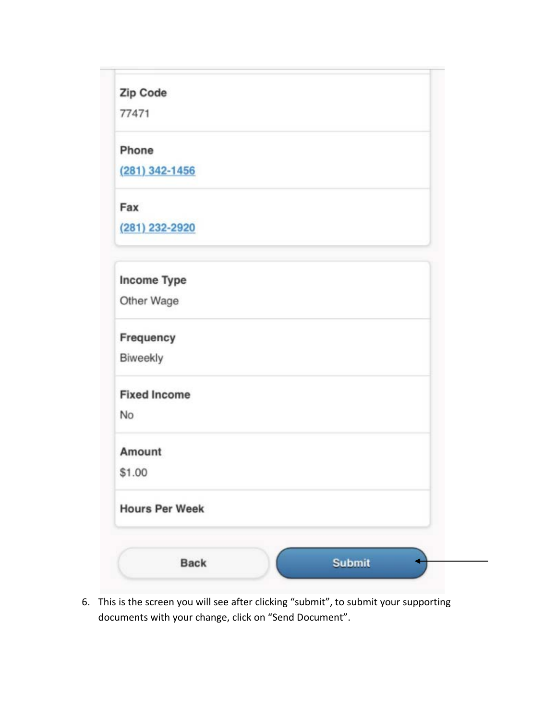| <b>Zip Code</b> |  |  |
|-----------------|--|--|
|                 |  |  |
|                 |  |  |

77471

Phone

 $(281)$  342-1456

Fax

(281) 232-2920

| <b>Income Type</b>    |               |  |
|-----------------------|---------------|--|
| Other Wage            |               |  |
| Frequency             |               |  |
| Biweekly              |               |  |
| <b>Fixed Income</b>   |               |  |
| <b>No</b>             |               |  |
| Amount                |               |  |
| \$1.00                |               |  |
| <b>Hours Per Week</b> |               |  |
|                       |               |  |
| <b>Back</b>           | <b>Submit</b> |  |

6. This is the screen you will see after clicking "submit", to submit your supporting documents with your change, click on "Send Document".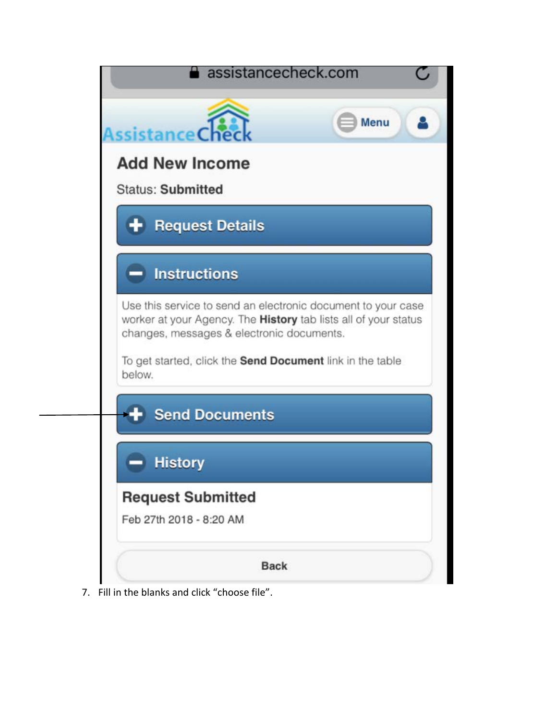

7. Fill in the blanks and click "choose file".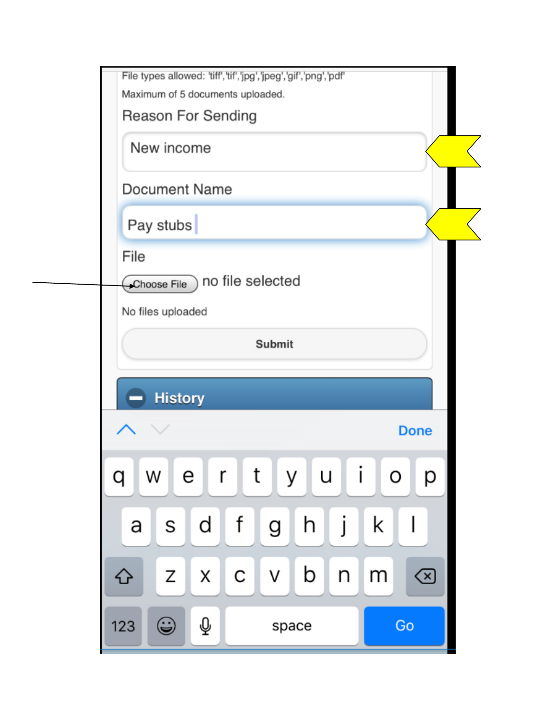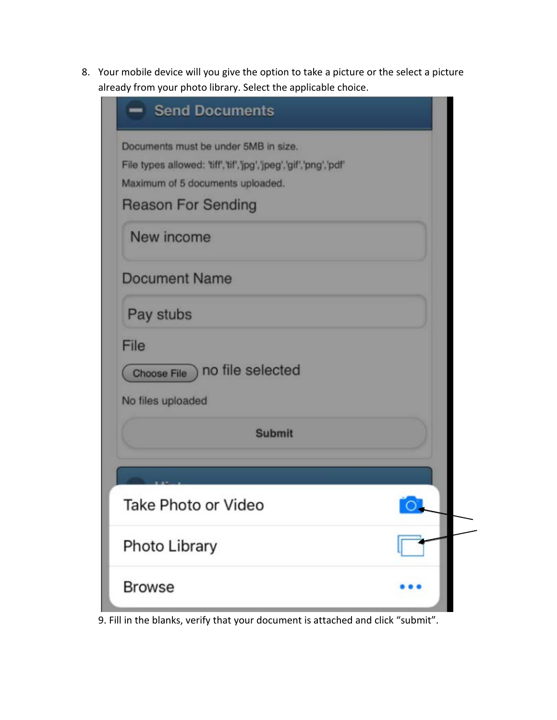8. Your mobile device will you give the option to take a picture or the select a picture already from your photo library. Select the applicable choice.

| - Send Documents                                                |  |
|-----------------------------------------------------------------|--|
| Documents must be under 5MB in size.                            |  |
| File types allowed: 'tiff','tif','jpg','jpeg','gif','png','pdf' |  |
| Maximum of 5 documents uploaded.                                |  |
| <b>Reason For Sending</b>                                       |  |
| New income                                                      |  |
| <b>Document Name</b>                                            |  |
| Pay stubs                                                       |  |
| File                                                            |  |
| Choose File ) no file selected                                  |  |
| No files uploaded                                               |  |
| <b>Submit</b>                                                   |  |
|                                                                 |  |
| Take Photo or Video                                             |  |
| Photo Library                                                   |  |
| <b>Browse</b>                                                   |  |

9. Fill in the blanks, verify that your document is attached and click "submit".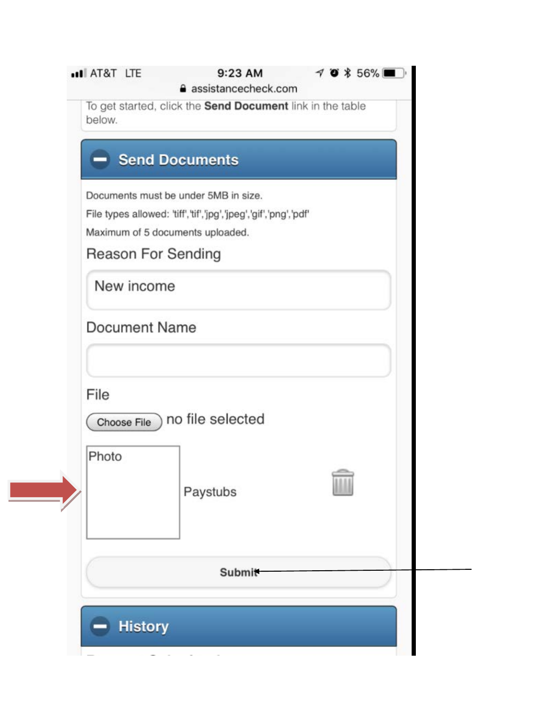|                      | <b>Send Documents</b>                                           |  |
|----------------------|-----------------------------------------------------------------|--|
|                      | Documents must be under 5MB in size.                            |  |
|                      | File types allowed: 'tiff','tif','jpg','jpeg','gif','png','pdf' |  |
|                      | Maximum of 5 documents uploaded.<br><b>Reason For Sending</b>   |  |
|                      |                                                                 |  |
| New income           |                                                                 |  |
| <b>Document Name</b> |                                                                 |  |
|                      |                                                                 |  |
| File                 |                                                                 |  |
|                      | Choose File ) no file selected                                  |  |
| Photo                |                                                                 |  |
|                      | Paystubs                                                        |  |
|                      | <b>Submit</b>                                                   |  |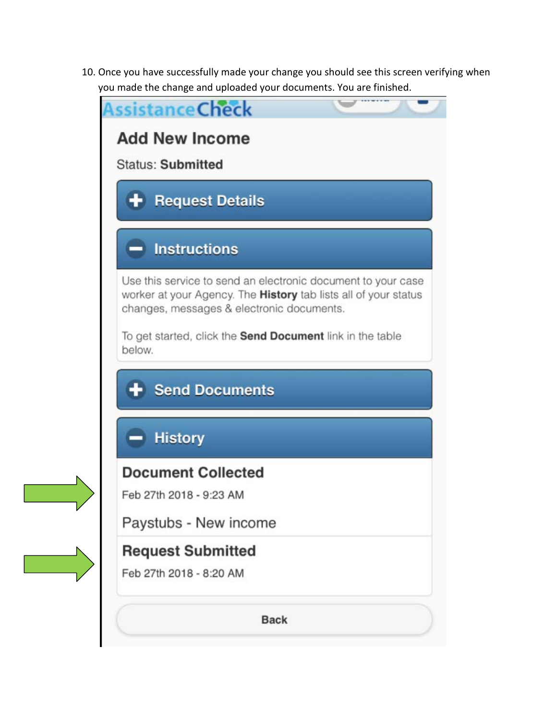10. Once you have successfully made your change you should see this screen verifying when you made the change and uploaded your documents. You are finished.